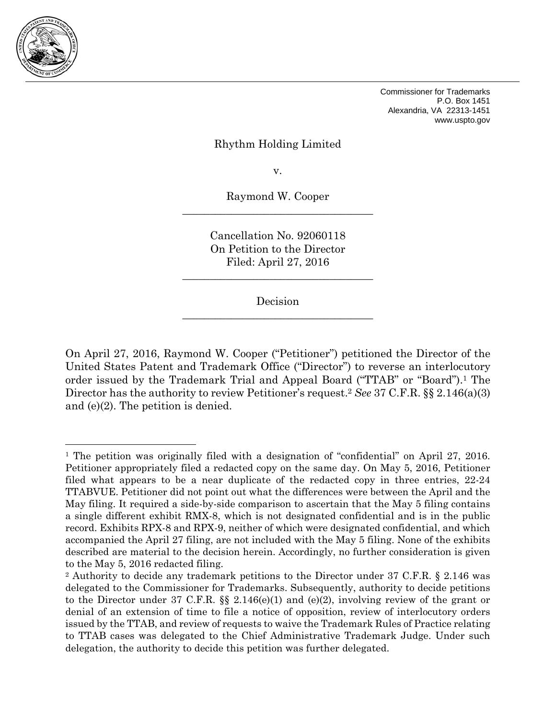

 $\overline{a}$ 

Commissioner for Trademarks P.O. Box 1451 Alexandria, VA 22313-1451 www.uspto.gov

#### Rhythm Holding Limited

v.

Raymond W. Cooper \_\_\_\_\_\_\_\_\_\_\_\_\_\_\_\_\_\_\_\_\_\_\_\_\_\_\_\_\_\_\_\_\_\_\_

> Cancellation No. 92060118 On Petition to the Director Filed: April 27, 2016

\_\_\_\_\_\_\_\_\_\_\_\_\_\_\_\_\_\_\_\_\_\_\_\_\_\_\_\_\_\_\_\_\_\_\_

Decision  $\overline{\phantom{a}}$  , where  $\overline{\phantom{a}}$  , where  $\overline{\phantom{a}}$  ,  $\overline{\phantom{a}}$  ,  $\overline{\phantom{a}}$  ,  $\overline{\phantom{a}}$  ,  $\overline{\phantom{a}}$  ,  $\overline{\phantom{a}}$  ,  $\overline{\phantom{a}}$  ,  $\overline{\phantom{a}}$  ,  $\overline{\phantom{a}}$  ,  $\overline{\phantom{a}}$  ,  $\overline{\phantom{a}}$  ,  $\overline{\phantom{a}}$  ,  $\overline{\phantom{a}}$  ,

On April 27, 2016, Raymond W. Cooper ("Petitioner") petitioned the Director of the United States Patent and Trademark Office ("Director") to reverse an interlocutory order issued by the Trademark Trial and Appeal Board ("TTAB" or "Board").1 The Director has the authority to review Petitioner's request.2 *See* 37 C.F.R. §§ 2.146(a)(3) and (e)(2). The petition is denied.

<sup>1</sup> The petition was originally filed with a designation of "confidential" on April 27, 2016. Petitioner appropriately filed a redacted copy on the same day. On May 5, 2016, Petitioner filed what appears to be a near duplicate of the redacted copy in three entries, 22-24 TTABVUE. Petitioner did not point out what the differences were between the April and the May filing. It required a side-by-side comparison to ascertain that the May 5 filing contains a single different exhibit RMX-8, which is not designated confidential and is in the public record. Exhibits RPX-8 and RPX-9, neither of which were designated confidential, and which accompanied the April 27 filing, are not included with the May 5 filing. None of the exhibits described are material to the decision herein. Accordingly, no further consideration is given to the May 5, 2016 redacted filing.

<sup>2</sup> Authority to decide any trademark petitions to the Director under 37 C.F.R. § 2.146 was delegated to the Commissioner for Trademarks. Subsequently, authority to decide petitions to the Director under 37 C.F.R.  $\S$  2.146(e)(1) and (e)(2), involving review of the grant or denial of an extension of time to file a notice of opposition, review of interlocutory orders issued by the TTAB, and review of requests to waive the Trademark Rules of Practice relating to TTAB cases was delegated to the Chief Administrative Trademark Judge. Under such delegation, the authority to decide this petition was further delegated.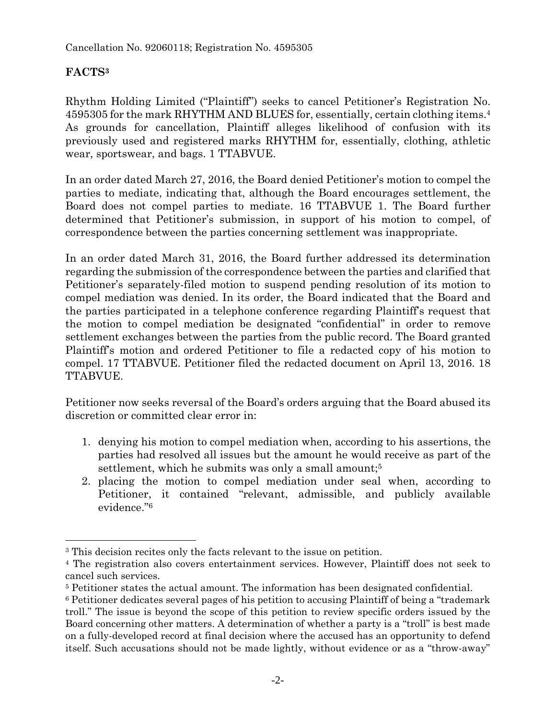# **FACTS3**

1

Rhythm Holding Limited ("Plaintiff") seeks to cancel Petitioner's Registration No. 4595305 for the mark RHYTHM AND BLUES for, essentially, certain clothing items.4 As grounds for cancellation, Plaintiff alleges likelihood of confusion with its previously used and registered marks RHYTHM for, essentially, clothing, athletic wear, sportswear, and bags. 1 TTABVUE.

In an order dated March 27, 2016, the Board denied Petitioner's motion to compel the parties to mediate, indicating that, although the Board encourages settlement, the Board does not compel parties to mediate. 16 TTABVUE 1. The Board further determined that Petitioner's submission, in support of his motion to compel, of correspondence between the parties concerning settlement was inappropriate.

In an order dated March 31, 2016, the Board further addressed its determination regarding the submission of the correspondence between the parties and clarified that Petitioner's separately-filed motion to suspend pending resolution of its motion to compel mediation was denied. In its order, the Board indicated that the Board and the parties participated in a telephone conference regarding Plaintiff's request that the motion to compel mediation be designated "confidential" in order to remove settlement exchanges between the parties from the public record. The Board granted Plaintiff's motion and ordered Petitioner to file a redacted copy of his motion to compel. 17 TTABVUE. Petitioner filed the redacted document on April 13, 2016. 18 TTABVUE.

Petitioner now seeks reversal of the Board's orders arguing that the Board abused its discretion or committed clear error in:

- 1. denying his motion to compel mediation when, according to his assertions, the parties had resolved all issues but the amount he would receive as part of the settlement, which he submits was only a small amount;<sup>5</sup>
- 2. placing the motion to compel mediation under seal when, according to Petitioner, it contained "relevant, admissible, and publicly available evidence."6

<sup>3</sup> This decision recites only the facts relevant to the issue on petition.

<sup>4</sup> The registration also covers entertainment services. However, Plaintiff does not seek to cancel such services.

<sup>5</sup> Petitioner states the actual amount. The information has been designated confidential.

<sup>6</sup> Petitioner dedicates several pages of his petition to accusing Plaintiff of being a "trademark troll." The issue is beyond the scope of this petition to review specific orders issued by the Board concerning other matters. A determination of whether a party is a "troll" is best made on a fully-developed record at final decision where the accused has an opportunity to defend itself. Such accusations should not be made lightly, without evidence or as a "throw-away"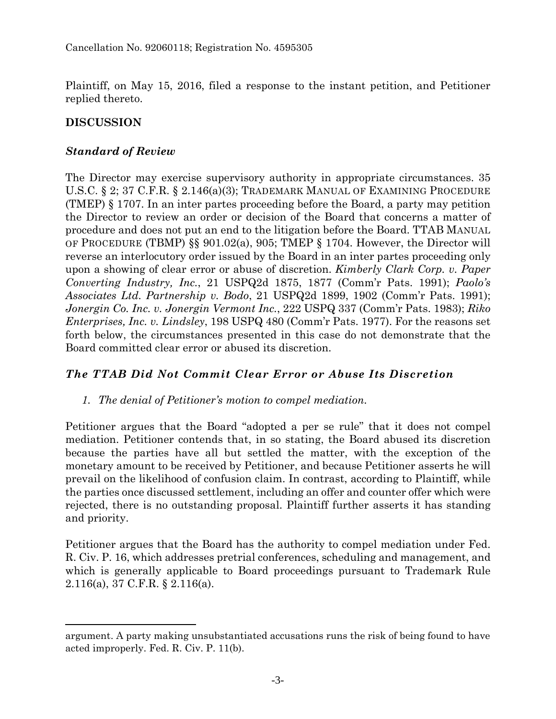Plaintiff, on May 15, 2016, filed a response to the instant petition, and Petitioner replied thereto.

## **DISCUSSION**

 $\overline{a}$ 

### *Standard of Review*

The Director may exercise supervisory authority in appropriate circumstances. 35 U.S.C. § 2; 37 C.F.R. § 2.146(a)(3); TRADEMARK MANUAL OF EXAMINING PROCEDURE (TMEP) § 1707. In an inter partes proceeding before the Board, a party may petition the Director to review an order or decision of the Board that concerns a matter of procedure and does not put an end to the litigation before the Board. TTAB MANUAL OF PROCEDURE (TBMP) §§ 901.02(a), 905; TMEP § 1704. However, the Director will reverse an interlocutory order issued by the Board in an inter partes proceeding only upon a showing of clear error or abuse of discretion. *Kimberly Clark Corp. v. Paper Converting Industry, Inc.*, 21 USPQ2d 1875, 1877 (Comm'r Pats. 1991); *Paolo's Associates Ltd. Partnership v. Bodo*, 21 USPQ2d 1899, 1902 (Comm'r Pats. 1991); *Jonergin Co. Inc. v. Jonergin Vermont Inc.*, 222 USPQ 337 (Comm'r Pats. 1983); *Riko Enterprises, Inc. v. Lindsley*, 198 USPQ 480 (Comm'r Pats. 1977). For the reasons set forth below, the circumstances presented in this case do not demonstrate that the Board committed clear error or abused its discretion.

# *The TTAB Did Not Commit Clear Error or Abuse Its Discretion*

*1. The denial of Petitioner's motion to compel mediation.* 

Petitioner argues that the Board "adopted a per se rule" that it does not compel mediation. Petitioner contends that, in so stating, the Board abused its discretion because the parties have all but settled the matter, with the exception of the monetary amount to be received by Petitioner, and because Petitioner asserts he will prevail on the likelihood of confusion claim. In contrast, according to Plaintiff, while the parties once discussed settlement, including an offer and counter offer which were rejected, there is no outstanding proposal. Plaintiff further asserts it has standing and priority.

Petitioner argues that the Board has the authority to compel mediation under Fed. R. Civ. P. 16, which addresses pretrial conferences, scheduling and management, and which is generally applicable to Board proceedings pursuant to Trademark Rule 2.116(a), 37 C.F.R. § 2.116(a).

argument. A party making unsubstantiated accusations runs the risk of being found to have acted improperly. Fed. R. Civ. P. 11(b).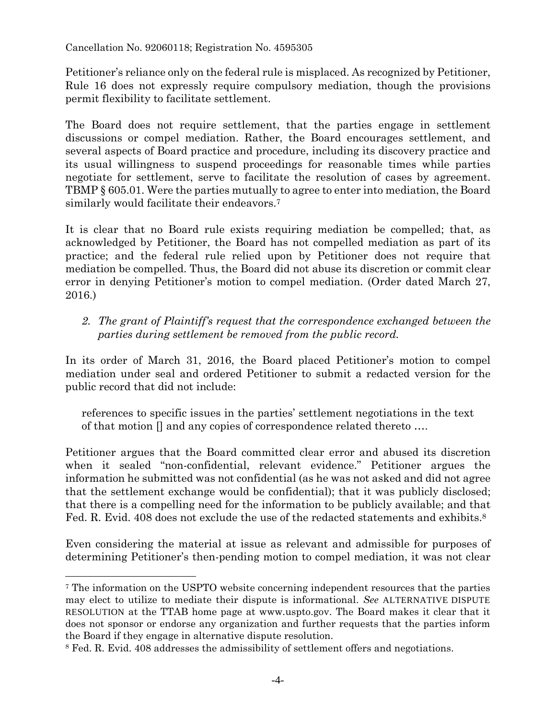Petitioner's reliance only on the federal rule is misplaced. As recognized by Petitioner, Rule 16 does not expressly require compulsory mediation, though the provisions permit flexibility to facilitate settlement.

The Board does not require settlement, that the parties engage in settlement discussions or compel mediation. Rather, the Board encourages settlement, and several aspects of Board practice and procedure, including its discovery practice and its usual willingness to suspend proceedings for reasonable times while parties negotiate for settlement, serve to facilitate the resolution of cases by agreement. TBMP § 605.01. Were the parties mutually to agree to enter into mediation, the Board similarly would facilitate their endeavors.<sup>7</sup>

It is clear that no Board rule exists requiring mediation be compelled; that, as acknowledged by Petitioner, the Board has not compelled mediation as part of its practice; and the federal rule relied upon by Petitioner does not require that mediation be compelled. Thus, the Board did not abuse its discretion or commit clear error in denying Petitioner's motion to compel mediation. (Order dated March 27, 2016.)

2. The grant of Plaintiff's request that the correspondence exchanged between the *parties during settlement be removed from the public record.* 

In its order of March 31, 2016, the Board placed Petitioner's motion to compel mediation under seal and ordered Petitioner to submit a redacted version for the public record that did not include:

references to specific issues in the parties' settlement negotiations in the text of that motion  $\Box$  and any copies of correspondence related thereto ...

Petitioner argues that the Board committed clear error and abused its discretion when it sealed "non-confidential, relevant evidence." Petitioner argues the information he submitted was not confidential (as he was not asked and did not agree that the settlement exchange would be confidential); that it was publicly disclosed; that there is a compelling need for the information to be publicly available; and that Fed. R. Evid. 408 does not exclude the use of the redacted statements and exhibits.<sup>8</sup>

Even considering the material at issue as relevant and admissible for purposes of determining Petitioner's then-pending motion to compel mediation, it was not clear

1

<sup>7</sup> The information on the USPTO website concerning independent resources that the parties may elect to utilize to mediate their dispute is informational. *See* ALTERNATIVE DISPUTE RESOLUTION at the TTAB home page at www.uspto.gov. The Board makes it clear that it does not sponsor or endorse any organization and further requests that the parties inform the Board if they engage in alternative dispute resolution.

<sup>8</sup> Fed. R. Evid. 408 addresses the admissibility of settlement offers and negotiations.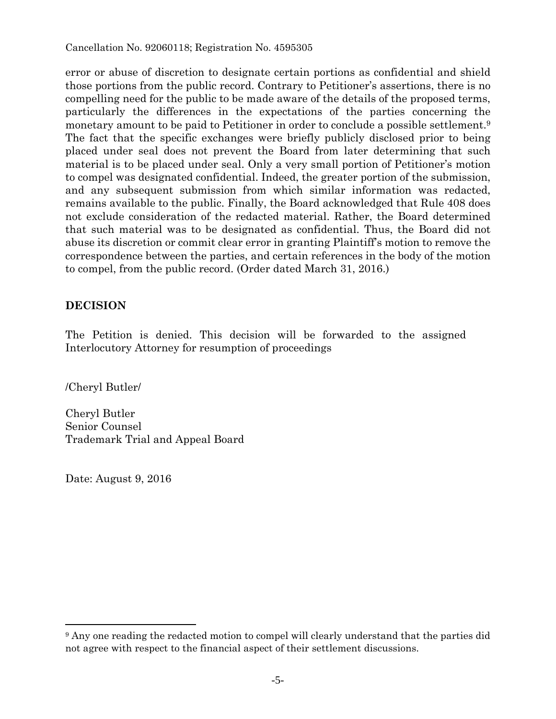error or abuse of discretion to designate certain portions as confidential and shield those portions from the public record. Contrary to Petitioner's assertions, there is no compelling need for the public to be made aware of the details of the proposed terms, particularly the differences in the expectations of the parties concerning the monetary amount to be paid to Petitioner in order to conclude a possible settlement.9 The fact that the specific exchanges were briefly publicly disclosed prior to being placed under seal does not prevent the Board from later determining that such material is to be placed under seal. Only a very small portion of Petitioner's motion to compel was designated confidential. Indeed, the greater portion of the submission, and any subsequent submission from which similar information was redacted, remains available to the public. Finally, the Board acknowledged that Rule 408 does not exclude consideration of the redacted material. Rather, the Board determined that such material was to be designated as confidential. Thus, the Board did not abuse its discretion or commit clear error in granting Plaintiff's motion to remove the correspondence between the parties, and certain references in the body of the motion to compel, from the public record. (Order dated March 31, 2016.)

#### **DECISION**

The Petition is denied. This decision will be forwarded to the assigned Interlocutory Attorney for resumption of proceedings

/Cheryl Butler/

Cheryl Butler Senior Counsel Trademark Trial and Appeal Board

Date: August 9, 2016

 $\overline{a}$ 

<sup>9</sup> Any one reading the redacted motion to compel will clearly understand that the parties did not agree with respect to the financial aspect of their settlement discussions.